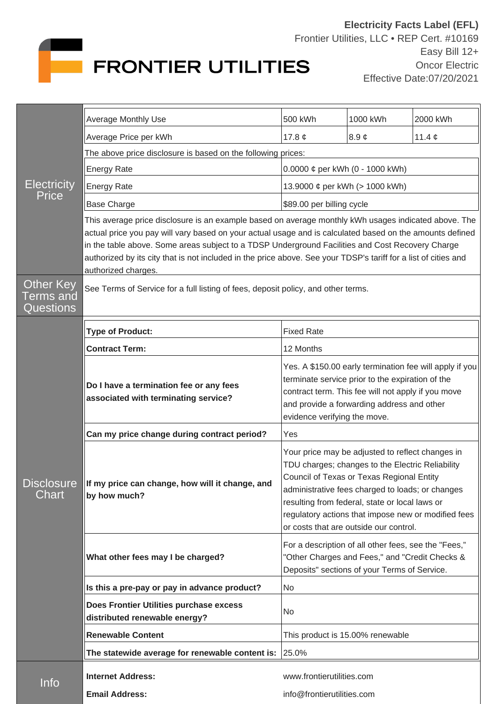

| <b>Electricity</b><br>Price                       |                                                                                                                                                                                                                                                                                                                                                                                                                                                                |                                                                                                                                                                                                                                                                                                                                                          |            |             |  |
|---------------------------------------------------|----------------------------------------------------------------------------------------------------------------------------------------------------------------------------------------------------------------------------------------------------------------------------------------------------------------------------------------------------------------------------------------------------------------------------------------------------------------|----------------------------------------------------------------------------------------------------------------------------------------------------------------------------------------------------------------------------------------------------------------------------------------------------------------------------------------------------------|------------|-------------|--|
|                                                   | Average Monthly Use                                                                                                                                                                                                                                                                                                                                                                                                                                            | 500 kWh                                                                                                                                                                                                                                                                                                                                                  | 1000 kWh   | 2000 kWh    |  |
|                                                   | Average Price per kWh                                                                                                                                                                                                                                                                                                                                                                                                                                          | 17.8 $\phi$                                                                                                                                                                                                                                                                                                                                              | 8.9 $\phi$ | 11.4 $\phi$ |  |
|                                                   | The above price disclosure is based on the following prices:                                                                                                                                                                                                                                                                                                                                                                                                   |                                                                                                                                                                                                                                                                                                                                                          |            |             |  |
|                                                   | <b>Energy Rate</b>                                                                                                                                                                                                                                                                                                                                                                                                                                             | 0.0000 $\phi$ per kWh (0 - 1000 kWh)                                                                                                                                                                                                                                                                                                                     |            |             |  |
|                                                   | <b>Energy Rate</b>                                                                                                                                                                                                                                                                                                                                                                                                                                             | 13.9000 ¢ per kWh (> 1000 kWh)                                                                                                                                                                                                                                                                                                                           |            |             |  |
|                                                   | <b>Base Charge</b>                                                                                                                                                                                                                                                                                                                                                                                                                                             | \$89.00 per billing cycle                                                                                                                                                                                                                                                                                                                                |            |             |  |
|                                                   | This average price disclosure is an example based on average monthly kWh usages indicated above. The<br>actual price you pay will vary based on your actual usage and is calculated based on the amounts defined<br>in the table above. Some areas subject to a TDSP Underground Facilities and Cost Recovery Charge<br>authorized by its city that is not included in the price above. See your TDSP's tariff for a list of cities and<br>authorized charges. |                                                                                                                                                                                                                                                                                                                                                          |            |             |  |
| <b>Other Key</b><br><b>Terms</b> and<br>Questions | See Terms of Service for a full listing of fees, deposit policy, and other terms.                                                                                                                                                                                                                                                                                                                                                                              |                                                                                                                                                                                                                                                                                                                                                          |            |             |  |
| <b>Disclosure</b><br>Chart                        | <b>Type of Product:</b>                                                                                                                                                                                                                                                                                                                                                                                                                                        | <b>Fixed Rate</b>                                                                                                                                                                                                                                                                                                                                        |            |             |  |
|                                                   | <b>Contract Term:</b>                                                                                                                                                                                                                                                                                                                                                                                                                                          | 12 Months                                                                                                                                                                                                                                                                                                                                                |            |             |  |
|                                                   | Do I have a termination fee or any fees<br>associated with terminating service?                                                                                                                                                                                                                                                                                                                                                                                | Yes. A \$150.00 early termination fee will apply if you<br>terminate service prior to the expiration of the<br>contract term. This fee will not apply if you move<br>and provide a forwarding address and other<br>evidence verifying the move.                                                                                                          |            |             |  |
|                                                   | Can my price change during contract period?                                                                                                                                                                                                                                                                                                                                                                                                                    | Yes                                                                                                                                                                                                                                                                                                                                                      |            |             |  |
|                                                   | If my price can change, how will it change, and<br>by how much?                                                                                                                                                                                                                                                                                                                                                                                                | Your price may be adjusted to reflect changes in<br>TDU charges; changes to the Electric Reliability<br>Council of Texas or Texas Regional Entity<br>administrative fees charged to loads; or changes<br>resulting from federal, state or local laws or<br>regulatory actions that impose new or modified fees<br>or costs that are outside our control. |            |             |  |
|                                                   | What other fees may I be charged?                                                                                                                                                                                                                                                                                                                                                                                                                              | For a description of all other fees, see the "Fees,"<br>"Other Charges and Fees," and "Credit Checks &<br>Deposits" sections of your Terms of Service.                                                                                                                                                                                                   |            |             |  |
|                                                   | Is this a pre-pay or pay in advance product?                                                                                                                                                                                                                                                                                                                                                                                                                   | No                                                                                                                                                                                                                                                                                                                                                       |            |             |  |
|                                                   | Does Frontier Utilities purchase excess<br>distributed renewable energy?                                                                                                                                                                                                                                                                                                                                                                                       | No                                                                                                                                                                                                                                                                                                                                                       |            |             |  |
|                                                   | <b>Renewable Content</b>                                                                                                                                                                                                                                                                                                                                                                                                                                       | This product is 15.00% renewable                                                                                                                                                                                                                                                                                                                         |            |             |  |
|                                                   | The statewide average for renewable content is:                                                                                                                                                                                                                                                                                                                                                                                                                | 25.0%                                                                                                                                                                                                                                                                                                                                                    |            |             |  |
| Info                                              | <b>Internet Address:</b>                                                                                                                                                                                                                                                                                                                                                                                                                                       | www.frontierutilities.com                                                                                                                                                                                                                                                                                                                                |            |             |  |
|                                                   | <b>Email Address:</b>                                                                                                                                                                                                                                                                                                                                                                                                                                          | info@frontierutilities.com                                                                                                                                                                                                                                                                                                                               |            |             |  |